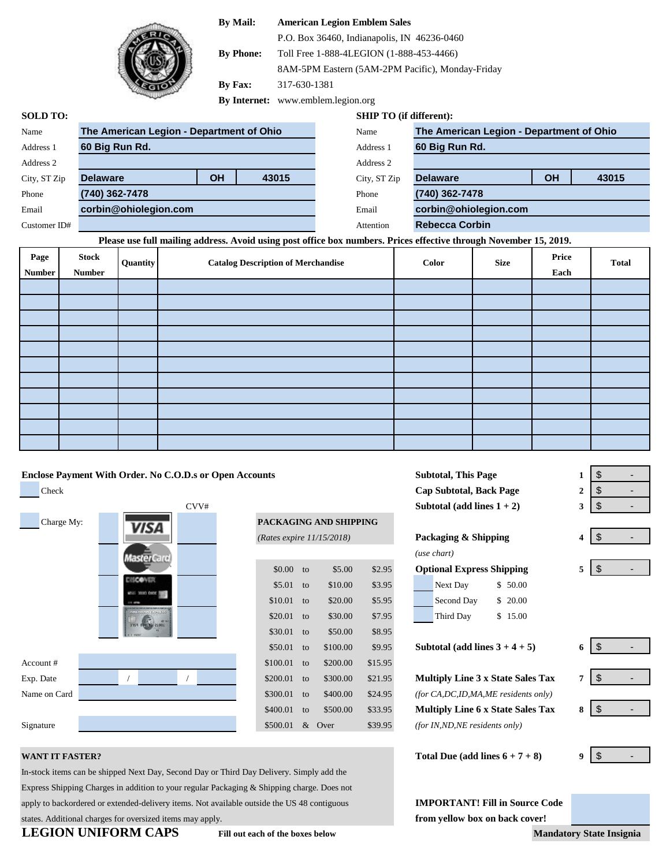# **By Mail: American Legion Emblem Sales**



P.O. Box 36460, Indianapolis, IN 46236-0460

**By Phone:** Toll Free 1-888-4LEGION (1-888-453-4466)

8AM-5PM Eastern (5AM-2PM Pacific), Monday-Friday

**By Fax:** 317-630-1381

**By Internet:** www.emblem.legion.org

### **SOLD TO: SHIP TO (if different):**

| Name         | The American Legion - Department of Ohio |           |       | Name         | The American Legion - Department of Ohio |    |      |  |
|--------------|------------------------------------------|-----------|-------|--------------|------------------------------------------|----|------|--|
| Address 1    | 60 Big Run Rd.                           |           |       | Address 1    | 60 Big Run Rd.                           |    |      |  |
| Address 2    |                                          |           |       | Address 2    |                                          |    |      |  |
| City, ST Zip | <b>Delaware</b>                          | <b>OH</b> | 43015 | City, ST Zip | <b>Delaware</b>                          | OH | 4301 |  |
| Phone        | (740) 362-7478                           |           |       | Phone        | (740) 362-7478                           |    |      |  |
| Email        | corbin@ohiolegion.com                    |           |       | Email        | corbin@ohiolegion.com                    |    |      |  |
| Customer ID# |                                          |           |       | Attention    | <b>Rebecca Corbin</b>                    |    |      |  |
|              |                                          |           |       |              |                                          |    |      |  |

# **Please use full mailing address. Avoid using post office box numbers. Prices effective through November 15, 2019.**

| Page          | <b>Stock</b>  | <b>Quantity</b> | <b>Catalog Description of Merchandise</b> | Color | <b>Size</b> | Price | <b>Total</b> |
|---------------|---------------|-----------------|-------------------------------------------|-------|-------------|-------|--------------|
| <b>Number</b> | <b>Number</b> |                 |                                           |       |             | Each  |              |
|               |               |                 |                                           |       |             |       |              |
|               |               |                 |                                           |       |             |       |              |
|               |               |                 |                                           |       |             |       |              |
|               |               |                 |                                           |       |             |       |              |
|               |               |                 |                                           |       |             |       |              |
|               |               |                 |                                           |       |             |       |              |
|               |               |                 |                                           |       |             |       |              |
|               |               |                 |                                           |       |             |       |              |
|               |               |                 |                                           |       |             |       |              |
|               |               |                 |                                           |       |             |       |              |
|               |               |                 |                                           |       |             |       |              |

# **Enclose Payment With Order. No C.O.D.s or Open Accounts**

**Check Check Check Cap Subtotal, Back Page** 2 CVV# Charge My: **PACKAGING AND SHIPPING** laster Card Account # Exp. Date / / to **Multiply Line 3 x State Sales Tax 7** Name on Card **the Card to** *Card*  $\frac{1}{24.00 \times 10^{10}}$  to  $\frac{1}{24.95}$  *(for CA,DC,ID,MA,ME residents only)* Signature **8500.01** & Over \$39.95 (for IN,ND,NE residents only)

|                           |    | PACKAGING AND SHIPPING |         |                                          |   |
|---------------------------|----|------------------------|---------|------------------------------------------|---|
| (Rates expire 11/15/2018) |    |                        |         | Packaging & Shipping                     | 4 |
|                           |    |                        |         | (use chart)                              |   |
| \$0.00                    | to | \$5.00                 | \$2.95  | <b>Optional Express Shipping</b>         | 5 |
| \$5.01                    | to | \$10.00                | \$3.95  | Next Day<br>\$ 50.00                     |   |
| \$10.01                   | to | \$20.00                | \$5.95  | \$20.00<br>Second Day                    |   |
| \$20.01                   | to | \$30.00                | \$7.95  | \$15.00<br>Third Day                     |   |
| \$30.01                   | to | \$50.00                | \$8.95  |                                          |   |
| \$50.01                   | to | \$100.00               | \$9.95  | Subtotal (add lines $3 + 4 + 5$ )        | 6 |
| \$100.01                  | to | \$200.00               | \$15.95 |                                          |   |
| \$200.01                  | to | \$300.00               | \$21.95 | <b>Multiply Line 3 x State Sales Tax</b> | 7 |
| \$300.01                  | to | \$400.00               | \$24.95 | (for $CA,DC,ID,MA,ME$ residents only)    |   |
| \$400.01                  | to | \$500.00               | \$33.95 | <b>Multiply Line 6 x State Sales Tax</b> | 8 |
| \$500.01                  | &  | Over                   | \$39.95 | <i>(for IN,ND,NE residents only)</i>     |   |
|                           |    |                        |         |                                          |   |

In-stock items can be shipped Next Day, Second Day or Third Day Delivery. Simply add the Express Shipping Charges in addition to your regular Packaging & Shipping charge. Does not apply to backordered or extended-delivery items. Not available outside the US 48 contiguous **IMPORTANT! Fill in Source Code** states. Additional charges for oversized items may apply. *from yellow box on back cover!* 

| Subtotal, This Page           |             |
|-------------------------------|-------------|
| Cap Subtotal, Back Page       | $\mathbf 2$ |
| Subtotal (add lines $1 + 2$ ) | 3           |
|                               |             |

| e 11/15/2018) |         |        | Packaging & Shipping             |  |  |
|---------------|---------|--------|----------------------------------|--|--|
|               |         |        | (use chart)                      |  |  |
| to            | \$5.00  | \$2.95 | <b>Optional Express Shipping</b> |  |  |
| to            | \$10.00 | \$3.95 | \$50.00<br>Next Day              |  |  |
| to            | \$20.00 | \$5.95 | Second Day<br>20.00              |  |  |

| to | \$30.00 | \$7.95 | Third Day | \$15.00 |
|----|---------|--------|-----------|---------|
| to | \$50.00 | \$8.95 |           |         |

**WANT IT FASTER? Total Due (add lines 6 + 7 + 8) 9**

| 1            | \$ |
|--------------|----|
| $\mathbf{2}$ | \$ |
| 3            | \$ |
|              |    |
|              | \$ |

**Delaware OH 43015**

| S | ۰ |  |
|---|---|--|

| 6 | \$ |  |
|---|----|--|
| 7 | \$ |  |
| 8 | \$ |  |

 $\mathfrak{S}$